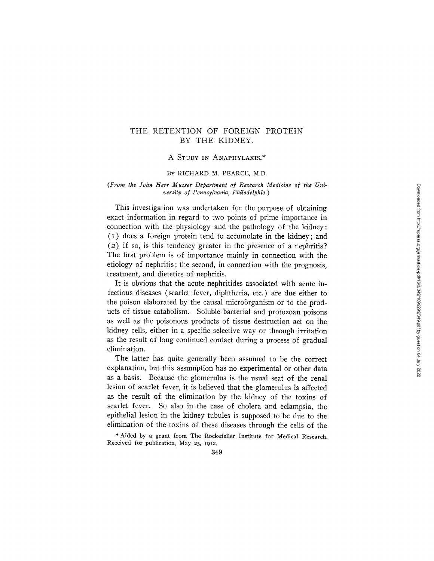# THE RETENTION OF FOREIGN PROTEIN BY THE KIDNEY,

# A STUDY IN ANAPHYLAXIS.\*

## BY RICHARD M. PEARCE, M.D.

### *(From the John Herr Musser Department of Research Medicine of the University of Pennsylvania, Philadelphia.)*

This investigation was undertaken for the purpose of obtaining exact information in regard to two points of prime importance in connection with the physiology and the pathology of the kidney: (I) does a foreign protein tend to accumulate in the kidney; and (2) if so, is this tendency greater in the presence of a nephritis? The first problem is of importance mainly in connection with the etiology of nephritis; the second, in connection with the prognosis, treatment, and dietetics of nephritis.

It is obvious that the acute nephritides associated with acute infectious diseases (scarlet fever, diphtheria, etc.) are due either to the poison elaborated by the causal microörganism or to the products of tissue catabolism. Soluble bacterial and protozoan poisons as well as the poisonous products of tissue destruction act on the kidney cells, either in a specific selective way or through irritation as the result of long continued contact during a process of gradual elimination.

The latter has quite generally been assumed to be the correct explanation, but this assumption has no experimental or other data as a basis. Because the glomerulus is the usual seat of the renal lesion of scarlet fever, it is believed that the glomerulus is affected as the result of the elimination by the kidney of the toxins of scarlet fever. So also in the case of cholera and eclampsia, the epithelial lesion in the kidney tubules is supposed to be due to the elimination of the toxins of these diseases through the cells of the

\* Aided by a grant from The Rockefeller Institute for Medical Research. Received for publication, May 25, I912.

Downloaded from http://rupress.org/jem/article-pdf/16/3/349/1099299/349.pdf by guest on 04 July 2022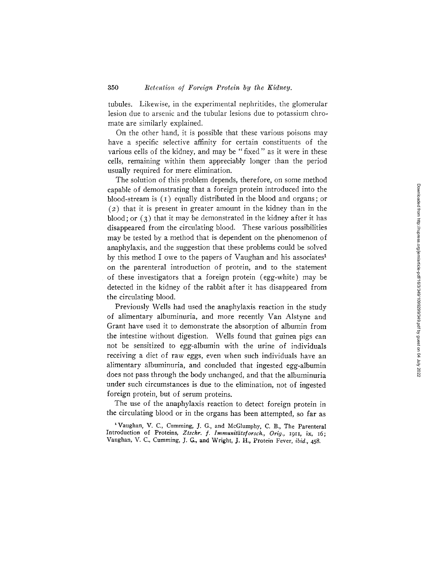tubules. Likewise, in the experimental nephritides, the glomerular lesion due to arsenic and the tubular lesions due to potassium chromate are similarly explained.

On the other hand, it is possible that these various poisons may have a specific selective affinity for certain constituents of the various cells of the kidney, and may be "fixed" as it were in these cells, remaining within them appreciably longer than the period usually required for mere elimination.

The solution of this problem depends, therefore, on some method capable of demonstrating that a foreign protein introduced into the blood-stream is (I) equally distributed in the blood and organs; or  $(2)$  that it is present in greater amount in the kidney than in the blood; or  $(3)$  that it may be demonstrated in the kidney after it has disappeared from the circulating blood. These various possibilities may be tested by a method that is dependent on the phenomenon of anaphylaxis, and the suggestion that these problems could be solved by this method I owe to the papers of Vaughan and his associates<sup>1</sup> on the parenteral introduction of protein, and to the statement of these investigators that a foreign protein (egg-white) may be detected in the kidney of the rabbit after it has disappeared from the circulating blood.

Previously Wells had used the anaphylaxis reaction in the study of alimentary albuminuria, and more recently Van Alstyne and Grant have used it to demonstrate the absorption of albumin from the intestine without digestion. Wells found that guinea pigs can not be sensitized to egg-albumin with the urine of individuals receiving a diet of raw eggs, even when such individuals have an alimentary albuminuria, and concluded that ingested egg-albumin does not pass through the body unchanged, and that the albuminuria under such circumstances is due to the elimination, not of ingested foreign protein, but of serum proteins.

The use of the anaphylaxis reaction to detect foreign protein in the circulating blood or in the organs has been attempted, so far as

<sup>&</sup>lt;sup>1</sup> Vaughan, V. C., Cumming, J. G., and McGlumphy, C. B., The Parenteral Introduction of Proteins, *Ztschr. f. Immunltiitsforsch., Orig.,* IgII, ix, I6; Vaughan, V. C., Curnming, J. G., and Wright, J. H., Protein Fever, *ibid.,* 458.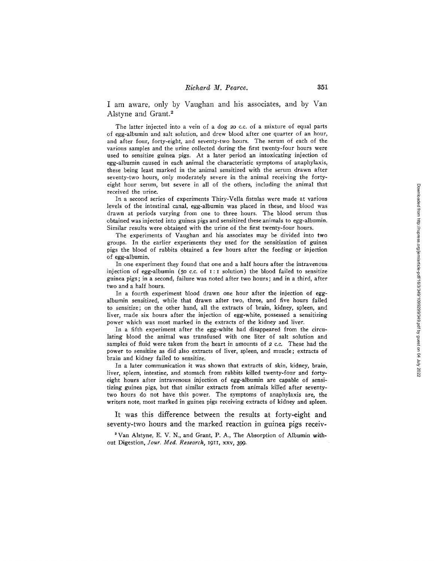I am aware, only by Vaughan and his associates, and by Van Alstyne and Grant.<sup>2</sup>

The latter injected into a vein of a dog 20 c.c. of a mixture of equal parts of egg-albumin and salt solution, and drew blood after one quarter of an hour, and after four, forty-eight, and seventy-two hours. The serum of each of the various samples and the urine collected during the first twenty-four hours were used to sensitize guinea pigs. At a later period an intoxicating injection of egg-albumin caused in each animal the characteristic symptoms of anaphylaxis, these being least marked in the animal sensitized with the serum drawn after seventy-two hours, only moderately severe in the animal receiving the fortyeight hour serum, but severe in all of the others, including the animal that received the urine.

In a second series of experiments Thiry-Vella fistulas were made at various levels of the intestinal canal, egg-albumin was placed in these, and blood was drawn at periods varying from one to three hours. The blood serum thus obtained was injected into guinea pigs and sensitized these animals to egg-albumin. Similar results were obtained with the urine of the first twenty-four hours.

The experiments of Vaughan and his associates may be divided into two groups. In the earlier experiments they used for the sensitization of guinea pigs the blood of rabbits obtained a few hours after the feeding or injection of egg-albumin.

In one experiment they found that one and a half hours after the intravenous injection of egg-albumin (50 c.c. of  $I:I$  solution) the blood failed to sensitize guinea pigs; in a second, failure was noted after two hours; and in a third, after two and a half hours.

In a fourth experiment blood drawn one hour after the injection of eggalbumin sensitized, while that drawn after two, three, and five hours failed to sensitize; on the other hand, all the extracts of brain, kidney, spleen, and liver, made six hours after the injection of egg-white, possessed a sensitizing power which was most marked in the extracts of the kidney and liver.

In a fifth experiment after the egg-white had disappeared from the circulating blood the animal was transfused with one liter of salt solution and samples of fluid were taken from the heart in amounts of 2 c.c. These had the power to sensitize as did also extracts of liver, spleen, and muscle; extracts of brain and kidney failed to sensitize.

In a later communication it was shown that extracts of skin, kidney, brain, liver, spleen, intestine, and stomach from rabbits killed twenty-four and fortyeight hours after intravenous injection of egg-albumin are capable of sensitizing guinea pigs, but that similar extracts from animals killed after seventytwo hours do not have this power. The symptoms of anaphylaxis are, the writers note, most marked in guinea pigs receiving extracts of kidney and spleen.

It was this difference between the results at forty-eight and seventy-two hours and the marked reaction in guinea pigs receiv-

2 Van Alstyne, E. V. N., and Grant, P. A., The Absorption of Albumin without Digestion, *Jour. Med. Research,* I9II, xxv, 399.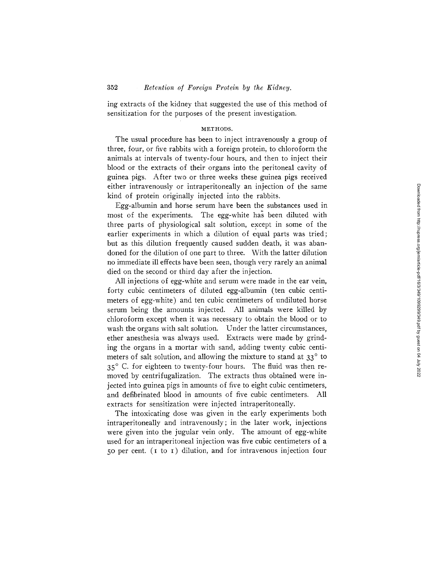ing extracts of the kidney that suggested the use of this method of sensitization for the purposes of the present investigation.

## METHODS.

The usual procedure has been to inject intravenously a group of three, four, or five rabbits with a foreign protein, to chloroform the animals at intervals of twenty-four hours, and then to inject their blood or the extracts of their organs into the peritoneal cavity of guinea pigs. After two or three weeks these guinea pigs received either intravenously or intraperitoneally an injection of the same kind of protein originally injected into the rabbits.

Egg-albumin and horse serum have been the substances used in most of the experiments. The egg-white has been diluted with three parts of physiological salt solution, except in some of the earlier experiments in which a dilution of equal parts was tried; but as this dilution frequently caused sudden death, it was abandoned for the dilution of one part to three. With the latter dilution no immediate ill effects have been seen, though very rarely an animal died on the second or third day after the injection.

All injections of egg-white and serum were made in the ear vein, forty cubic centimeters of diluted egg-albumin (ten cubic centimeters of egg-white) and ten cubic centimeters of undiluted horse serum being the amounts injected. All animals were killed by chloroform except when it was necessary to obtain the blood or to wash the organs with salt solution. Under the latter circumstances, ether anesthesia was always used. Extracts were made by grinding the organs in a mortar with sand, adding twenty cubic centimeters of salt solution, and allowing the mixture to stand at  $33^\circ$  to 35° C. for eighteen to twenty-four hours. The fluid was then removed by centrifugalization. The extracts thus obtained were injected into guinea pigs in amounts of five to eight cubic centimeters, and defibrinated blood in amounts of five cubic centimeters. All extracts for sensitization were injected intraperitoneally.

The intoxicating dose was given in the early experiments both intraperitoneally and intravenously; in the later work, injections were given into the jugular vein only. The amount of egg-white used for an intraperitoneal injection was five cubic centimeters of a 50 per cent. (I to I) dilution, and for intravenous injection four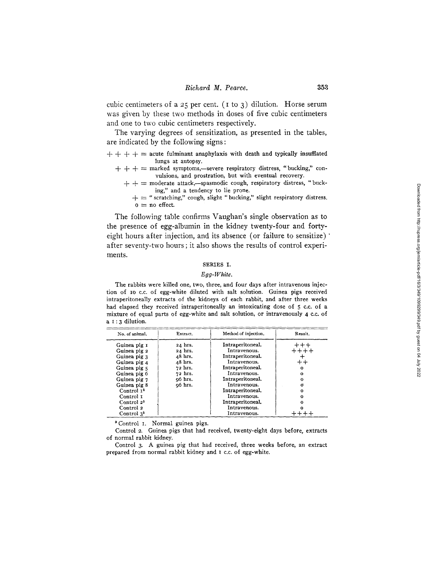cubic centimeters of a 25 per cent. ( $\mathbf{I}$  to 3) dilution. Horse serum was given by these two methods in doses of five cubic centimeters and one to two cubic centimeters respectively.

The varying degrees of sensitization, as presented in the tables, are indicated by the following signs:

 $+ + +$   $+ =$  acute fulminant anaphylaxis with death and typically insufflated lungs at autopsy.

- $+++$  = marked symptoms,-severe respiratory distress, "bucking," convulsions, and prostration, but with eventual recovery.
	- $+ + =$  moderate attack,--spasmodic cough, respiratory distress, "bucking," and a tendency to lie prone.
		- *+ ~ "* scratching," cough, slight "bucking," slight respiratory distress.  $o = no$  effect.

The following table confirms Vaughan's single observation as to the presence of egg-albumin in the kidney twenty-four and fortyeight hours after injection, and its absence (or failure to sensitize)  $\dot{ }$ after seventy-two hours ; it also shows the results of control experiments.

## SERIES I.

## *Egg-White.*

The rabbits were killed one, two, three, and four days after intravenous injection of 10 c.c. of egg-white diluted with salt solution. Guinea pigs received intraperitoneally extracts of the kidneys of each rabbit, and after three weeks had elapsed they received intraperitoneally an intoxicating dose of 5 c.c. of a mixture of equal parts of egg-white and salt solution, or intravenously 4 c.c. of a  $1:3$  dilution.

| No. of animal.         | Extract. | Method of injection. | Result.   |
|------------------------|----------|----------------------|-----------|
| Guinea pig 1           | 24 hrs.  | Intraperitoneal.     | $+++$     |
| Guinea pig 2           | 24 hrs.  | Intravenous.         | $+ + + +$ |
| Guinea pig 3           | 48 hrs.  | Intraperitoneal.     |           |
| Guinea pig 4           | 48 hrs.  | Intravenous.         | $+ +$     |
| Guinea pig 5           | 72 hrs.  | Intraperitoneal.     | $\Omega$  |
| Guinea pig 6           | 72 hrs.  | Intravenous.         | $\Omega$  |
| Guinea pig 7           | o6 hrs.  | Intraperitoneal.     | o         |
| Guinea pig 8           | o6 hrs.  | Intravenous.         | σ         |
| Control 1 <sup>3</sup> |          | Intraperitoneal.     | 0         |
| Control 1              |          | Intravenous.         | ິ         |
| Control 2 <sup>3</sup> |          | Intraperitoneal.     |           |
| Control 2              |          | Intravenous.         | Ω         |
| Control $33$           |          | Intravenous.         |           |

3 Control I. Normal guinea pigs.

Control 2. Guinea pigs that had received, twenty-elght days before, extracts of normal rabbit kidney.

Control 3. A guinea pig that had received, three weeks before, an extract prepared from normal rabbit kidney and I c.c. of egg-white.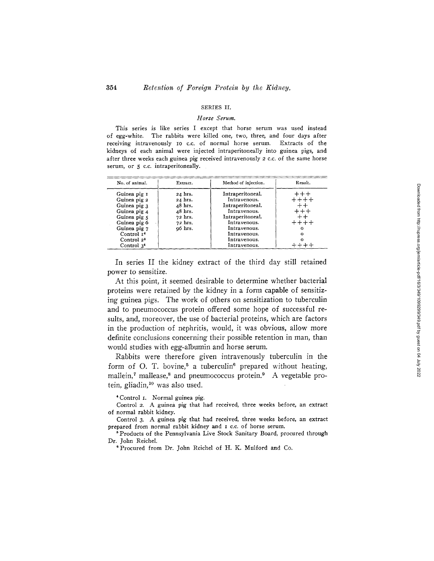## SERIES II.

### *Horse Serum.*

This series is like series I except that horse serum was used instead of egg-white. The rabbits were killed one, two, three, and four days after receiving intravenously Io c.c. of normal horse serum. Extracts of the kidneys of each animal were injected intraperitoneally into guinea pigs, and after three weeks each guinea pig received intravenously 2 c.c. of the same horse serum, or 5 c.c. intraperitoneally.

| No. of animal.                                                                                                                                                                   | Extract.                                                                                | Method of injection.                                                                                                                                                     | Result.                                                       |
|----------------------------------------------------------------------------------------------------------------------------------------------------------------------------------|-----------------------------------------------------------------------------------------|--------------------------------------------------------------------------------------------------------------------------------------------------------------------------|---------------------------------------------------------------|
| Guinea pig 1<br>Guinea pig 2<br>Guinea pig 3<br>Guinea pig 4<br>Guinea pig 5<br>Guinea pig 6<br>Guinea pig 7<br>Control 1 <sup>4</sup><br>Control 2 <sup>4</sup><br>Control $34$ | 24 hrs.<br>24 hrs.<br>48 hrs.<br>$48$ hrs.<br>72 hrs.<br>72 hrs.<br>o <sub>6</sub> hrs. | Intraperitoneal.<br>Intravenous.<br>Intraperitoneal.<br>Intravenous.<br>Intraperitoneal.<br>Intravenous.<br>Intravenous.<br>Intravenous.<br>Intravenous.<br>Intravenous. | $+++$<br>$+ + + +$<br>$+ +$<br>$+++$<br>$+ +$<br>$+++++$<br>Ω |

In series II the kidney extract of the third day still retained power to sensitize.

At this point, it seemed desirable to determine whether bacterial proteins were retained by the kidney in a form capable of sensitizing guinea pigs. The work of others on sensitization to tuberculin and to pneumococcus protein offered some hope of successful results, and, moreover, the use of bacterial proteins, which are factors in the production of nephritis, would, it was obvious, allow more definite conclusions concerning their possible retention in man, than would studies with egg-albumin and horse serum.

Rabbits were therefore given intravenously tuberculin in the form of O. T. bovine,<sup>5</sup> a tuberculin<sup>6</sup> prepared without heating, mallein, $\tau$  mallease, $\delta$  and pneumococcus protein. $\delta$  A vegetable protein, gliadin,<sup>10</sup> was also used.

4Control I. Normal guinea pig.

Control 2. A guinea pig that had received, three weeks before, an extract of normal rabbit kidney.

Control 3. A guinea pig that had received, three weeks before, an extract prepared from normal rabbit kidney and I c.c. of horse serum.

5 Products of the Pennsylvania Live Stock Sanitary Board, procured through Dr. John Reichel.

\*Procured from Dr. John Reichel of H. K. Mulford and Co.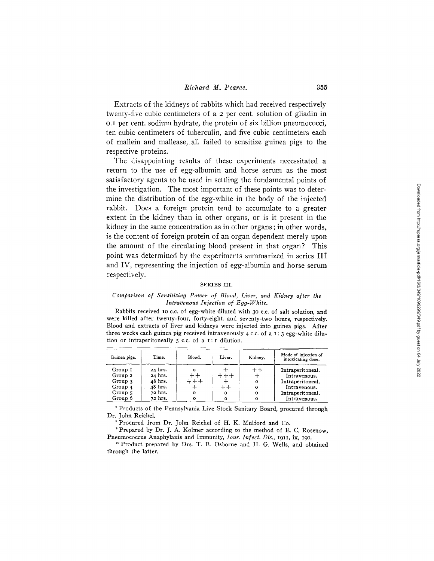Extracts of the kidneys of rabbits which had received respectively twenty-five cubic centimeters of a 2 per cent. solution of gliadin in o.I per cent. sodium hydrate, the protein of six billion pneumoeocci, ten cubic centimeters of tuberculin, and five cubic centimeters each of mallein and mallease, all failed to sensitize guinea pigs to the respective proteins.

The disappointing results of these experiments necessitated a return to the use of egg-albumin and horse serum as the most satisfactory agents to be used in settling the fundamental points of the investigation. The most important of these points was to determine the distribution of the egg-white in the body of the injected rabbit. Does a foreign protein tend to accumulate to a greater extent in the kidney than in other organs, or is it present in the kidney in the same concentration as in other organs ; in other words, is the content of foreign protein of an organ dependent merely upon the amount of the circulating blood present in that organ? This point was determined by the experiments summarized in series III and IV, representing the injection of egg-albumin and horse serum respectively.

#### SERIES III.

### *Comparison of Sensitizing Power of Blood, Liver, and Kidney after the Intravenous Injection of Egg-White.*

Rabbits received IO c.c. of egg-white diluted with 3o c.c. of salt solution, and were killed after twenty-four, forty-eight, and seventy-two hours, respectively. Blood and extracts of liver and kidneys were injected into guinea pigs. After three weeks each guinea pig received intravenously 4 c.c. of a I : 3 egg-white dilution or intraperitoneally 5 c.c. of a I : I dilution.

| Guinea pigs.       | Time.     | Blood. | Liver. | Kidney,         | Mode of injection of<br>intoxicating dose. |
|--------------------|-----------|--------|--------|-----------------|--------------------------------------------|
| Group 1            | 24 hrs.   |        |        | $^{\mathrm{+}}$ | Intraperitoneal.                           |
| Group <sub>2</sub> | 24 hrs.   |        | $+ +$  |                 | Intravenous.                               |
| Group 3            | $48$ hrs. | $+++$  |        | o               | Intraperitoneal.                           |
| Group 4            | 48 hrs.   |        | $r +$  | $\Omega$        | Intravenous.                               |
| Group 5            | 72 hrs.   |        | o      | о               | Intraperitoneal.                           |
| Group 6            | 72 hrs.   |        | o      | о               | Intravenous.                               |

7 Products of the Pennsylvania Live Stock Sanitary Board, procured through Dr. John Reichel.

8 Procured from Dr. John Reichel of H. K. Mulford and Co.

' Prepared by Dr. J. A. Kolmer according to the method of E. C. Rosenow, Pneumococcus Anaphylaxis and Immunity, *Jour. Infect. Dis.,* 1911, ix, 19o.

<sup>10</sup> Product prepared by Drs. T. B. Osborne and H. G. Wells, and obtained through the latter.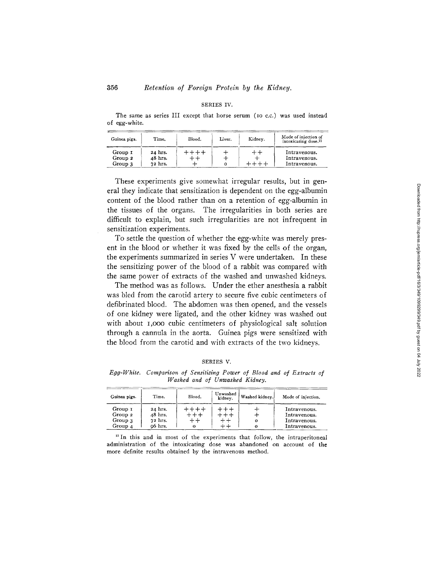## SERIES IV.

The same as series III except that horse serum (Io c.c.) was used instead of egg-white.

| Guinea pigs.                  | Time.                         | Blood.         | Liver. | Kidney. | Mode of injection of<br>intoxicating dose. <sup>11</sup> |
|-------------------------------|-------------------------------|----------------|--------|---------|----------------------------------------------------------|
| Group 1<br>Group 2<br>Group 3 | 24 hrs.<br>48 hrs.<br>72 hrs. | $+ + + +$<br>ᆠ | ᆠ<br>о | $++$    | Intravenous.<br>Intravenous.<br>Intravenous.             |

These experiments give somewhat irregular results, but in general they indicate that sensitization is dependent on the egg-albumin content of the blood rather than on a retention of egg-albumin in the tissues of the organs. The irregularities in both series are difficult to explain, but such irregularities are not infrequent in sensitization experiments.

To settle the question of whether the egg-white was merely present in the blood or whether it was fixed by the cells of the organ, the experiments summarized in series V were undertaken. In these the sensitizing power of the blood of a rabbit was compared with the same power of extracts of the washed and unwashed kidneys.

The method was as follows. Under the ether anesthesia a rabbit was bled from the carotid artery to secure five cubic centimeters of defibrinated blood. The abdomen was then opened, and the vessels of one kidney were ligated, and the other kidney was washed out with about 1,000 cubic centimeters of physiological salt solution through a cannula in the aorta. Guinea pigs were sensitized with the blood from the carotid and with extracts of the two kidneys.

# **SERIES V.**

*Egg-White. Comparison of Sensitizing Power of Blood and of Extracts of Washed and of Unwashed Kidney.* 

| Guinea pigs. | Time.   | Blood.                       | Unwashed<br>kidnev. | Washed kidney. | Mode of injection. |
|--------------|---------|------------------------------|---------------------|----------------|--------------------|
| Group 1      | 24 hrs. | $++++-$                      | $+ + +$             |                | Intravenous.       |
| Group 2      | 48 hrs. | $++++$                       | +++                 |                | Intravenous.       |
| Group 3      | 72 hrs. | $\overline{+}\,\overline{+}$ | ++                  |                | Intravenous.       |
| Group 4      | 06 hrs. | 0                            | $+ +$               |                | Intravenous.       |

<sup>11</sup> In this and in most of the experiments that follow, the intraperitoneal administration of the intoxicating dose was abandoned on account of the more definite results obtained by the intravenous method.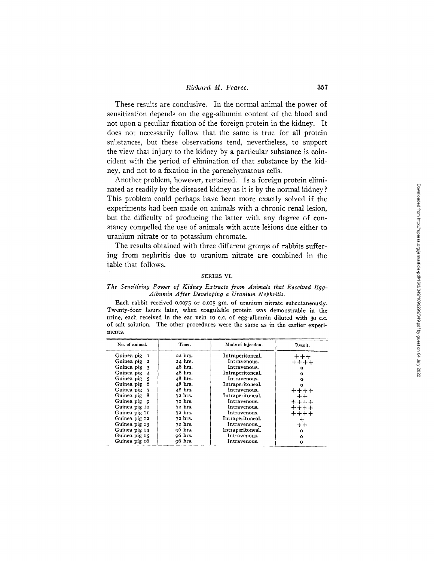# *Richard M. Pearce.* 357

These results are conclusive. In the normal animal the power of sensitization depends on the egg-albumin content of the blood and not upon a peculiar fixation of the foreign protein in the kidney. It does not necessarily follow that the same is true for all protein substances, but these observations tend, nevertheless, to support the view that injury to the kidney by a particular substance is coincident with the period of elimination of that substance by the kidney, and not to a fixation in the parenchymatous cells.

Another problem, however, remained. Is a foreign protein eliminated as readily by the diseased kidney as it is by the normal kidney ? This problem could perhaps have been more exactly solved if the experiments had been made on animals with a chronic renal lesion, but the difficulty of producing the latter with any degree of constancy compelled the use of animals with acute lesions due either to uranium nitrate or to potassium chromate.

The results obtained with three different groups of rabbits suffering from nephritis due to uranium nitrate are combined in the table that follows.

### SERIES VI,

#### *The Sensitizing Power of Kidney Extracts from Animals that Received Egg-Albumin After Developing a Uranium Nephritis.*

Each rabbit received 0.0075 or 0.015 gm. of uranium nitrate subcutaneously. **Twenty-four hours later, when coagulable protein was demonstrable in the urine, each received in the ear vein IO e.e. of egg-albumin diluted with 3o c.e. of salt solution. The other procedures were the same as in the earlier experiments.** 

| No. of animal.                 | Time.               | Mode of injection. | Result.   |
|--------------------------------|---------------------|--------------------|-----------|
| Guinea pig<br><b>I</b>         | 24 hrs.             | Intraperitoneal.   | $+ + +$   |
| Guinea pig<br>$\boldsymbol{2}$ | 24 hrs.             | Intravenous.       | $+ + + +$ |
| Guinea pig 3                   | $48$ hrs.           | Intravenous.       | o         |
| Guinea pig<br>$\overline{4}$   | 48 hrs.             | Intraperitoneal.   | o         |
| Guinea pig                     | $48$ hrs.           | Intravenous.       | ົ         |
| Guinea pig                     | $48$ hrs.           | Intraperitoneal.   | o         |
| Guinea pig 7                   | 48 hrs.             | Intravenous.       | $+ + + +$ |
| Guinea pig<br>- 8              | 72 hrs.             | Intraperitoneal.   | $+ +$     |
| Guinea pig q                   | 72 hrs.             | Intravenous.       | $+++++$   |
| Guinea pig 10                  | 72 hrs.             | Intravenous.       | ++++      |
| Guinea pig 11                  | 72 hrs.             | Intravenous.       | $+++++$   |
| Guinea pig 12                  | 72 hrs.             | Intraperitoneal.   | $\div$    |
| Guinea pig 13                  | 72 hrs.             | Intravenous.       | $++$      |
| Guinea pig 14                  | q6 hrs.             | Intraperitoneal.   | $\Omega$  |
| Guinea pig 15                  | o <sub>6</sub> hrs. | Intravenous.       | o         |
| Guinea pig 16                  | o6 hrs.             | Intravenous.       | o         |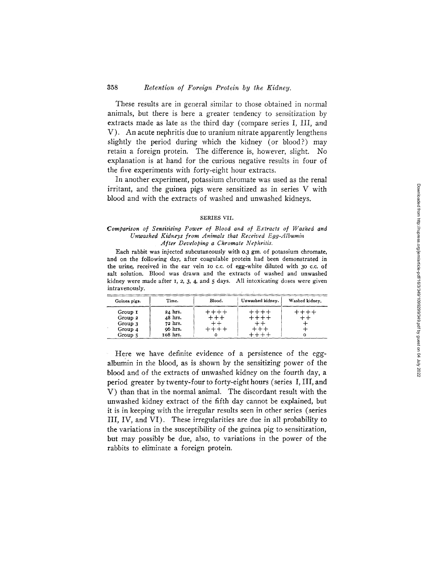# 358 *Retention of Foreign Protein by the Kidney.*

These results are in general similar to those obtained in normal animals, but there is here a greater tendency to sensitization by extracts made as late as the third day (compare series I, III, and V). An acute nephritis due to uranium nitrate apparently lengthens slightly the period during which the kidney (or blood?) may retain a foreign protein. The difference is, however, slight. No explanation is at hand for the curious negative results in four of the five experiments with forty-eight hour extracts.

In another experiment, potassium chromate was used as the renal irritant, and the guinea pigs were sensitized as in series V with blood and with the extracts of washed and unwashed kidneys.

#### SERIES VII.

### *Comparison of Sensitizing Power of Blood and of Extracts of Washed and Unwashed Kidneys from Animals that Received Egg-Albumin After Developing a Chromate Nephritis.*

Each rabbit was injected subcutaneously with 0.3 gm. of potassium chromate, and on the following day, after coagulable protein had been demonstrated in the urine, received in the ear vein io c.c. of egg-white diluted with 3o c.c. of salt solution. Blood was drawn and the extracts of washed and unwashed kidney were made after  $I$ ,  $2$ ,  $3$ ,  $4$ , and  $5$  days. All intoxicating doses were given intravenously.

| Guinea pigs.                                                                   | Time.                                                | Blood.                           | Unwashed kidney.                       | Washed kidney, |
|--------------------------------------------------------------------------------|------------------------------------------------------|----------------------------------|----------------------------------------|----------------|
| Group I<br>Group 2<br>Group 3<br>$\mathbf{r}$<br>Group <sub>4</sub><br>Group 5 | 24 hrs.<br>48 hrs.<br>72 hrs.<br>06 hrs.<br>108 hrs. | $+++++$<br>$++++$<br>$++++$<br>o | $+++++$<br>$+++++$<br>$+ +$<br>$+ + +$ | $+++++$        |

Here we have definite evidence of a persistence of the eggalbumin in the blood, as is shown by the sensitizing power of the blood and of the extracts of unwashed kidney on the fourth day, a period greater by twenty-four to forty-eight hours (series I, III, and V) than that in the normal animal. The discordant result with the unwashed kidney extract of the fifth day cannot be explained, but it is in keeping with the irregular results seen in other series (series III, IV, and VI). These irregularities are due in all probability to the variations in the susceptibility of the guinea pig to sensitization, but may possibly be due, also, to variations in the power of the rabbits to eliminate a foreign protein.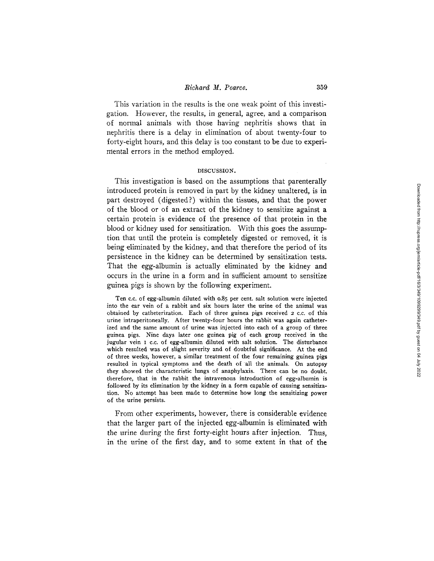# *Richard M. Pearce.* 359

This variation in the results is the one weak point of this investigation. However, the results, in general, agree, and a comparison of normal animals with those having nephritis shows that in nephritis there is a delay in elimination of about twenty-four to forty-eight hours, and this delay is too constant to be due to experimental errors in the method employed.

#### DISCUSSION.

This investigation is based on the assumptions that parenterally introduced protein is removed in part by the kidney unaltered, is in part destroyed (digested?) within the tissues, and that the power of the blood or of an extract of the kidney to sensitize against a certain protein is evidence of the presence of that protein in the blood or kidney used for sensitization. With this goes the assumption that until the protein is completely digested or removed, it is being eliminated by the kidney, and that therefore the period of its persistence in the kidney can be determined by sensitization tests. That the egg-albumin is actually eliminated by the kidney and occurs in the urine in a form and in sufficient amount to sensitize guinea pigs is shown by the following experiment.

Ten c.c. of egg-albumin diluted with o.85 per cent. salt solution were injected into the ear vein of a rabbit and six hours later the urine of the animal was obtained by catheterization. Each of three guinea pigs received 2 c.c. of this urine intraperitoneally. After twenty-four hours the rabbit was again catheterized and the same amount of urine was injected into each of a group of three guinea pigs. Nine days later one guinea pig of each group received in the jugular vein I c.c. of egg-albumin diluted with salt solution. The disturbance which resulted was of slight severity and of doubtful significance. At the end of three weeks, however, a similar treatment of the four remaining guinea pigs resulted in typical symptoms and the death of all the animals. On autopsy they showed the characteristic lungs of anaphylaxis. There can be no doubt, therefore, that in the rabbit the intravenous introduction of egg-albumin is followed by its elimination by the kidney in a form capable of causing sensitization. No attempt has been made to determine how long the sensitizing power of the urine persists.

From other experiments, however, there is considerable evidence that the larger part of the injected egg-albumin is eliminated with the urine during the first forty-eight hours after injection. Thus, in the urine of the first day, and to some extent in that of the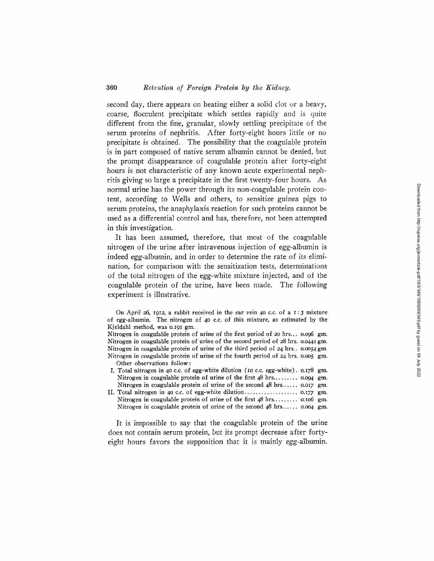# 360 *Retention of Foreign Protein by the Kidney.*

second day, there appears on heating either a solid clot or a heavy, coarse, flocculent precipitate which settles rapidly and is quite different from the fine, granular, slowly settling precipitate of the serum proteins of nephritis. After forty-eight hours little or no precipitate is obtained. The possibility that the coagulable protein is in part composed of native serum albumin cannot be denied, but the prompt disappearance of coagulable protein after forty-eight hours is not characteristic of any known acute experimental nephritis giving so large a precipitate in the first twenty-four hours. As normal urine has the power through its non-coagulable protein content, according to Wells and others, to sensitize guinea pigs to serum proteins, the anaphylaxis reaction for such proteins cannot be used as a differential control and has, therefore, not been attempted in this investigation.

It has been assumed, therefore, that most of the coagulable nitrogen of the urine after intravenous injection of egg-albumin is indeed egg-albumin, and in order to determine the rate of its elimination, for comparison with the sensitization tests, determinations of the total nitrogen of the egg-white mixture injected, and of the coagulable protein of the urine, have been made. The following experiment is illustrative.

It is impossible to say that the coagulable protein of the urine does not contain serum protein, but its prompt decrease after fortyeight hours favors the supposition that it is mainly egg-albumin.

On April 26, I912, a rabbit received in the ear vein 40 c.c. of a I:3 mixture of egg-albumin. The nitrogen of 40 c.c. of this mixture, as estimated by the Kjeldahl method, was 0.191 gm.

Nitrogen in coagulable protein of urine of the first period of 20 hrs... 0.096 gm. Nitrogen in coagulable protein of urine of the second period of 28 hrs. 0.0441 gm. Nitrogen in coagulable protein of urine of the third period of 24 hrs.. 0.0054 gm. Nitrogen in coagulable protein of urine of the fourth period of 24 hrs. 0.005 gm. Other observations follow:

I. Total nitrogen in 40 c.c. of egg-white dilution (10 c.c. egg-white). 0.178 gm. Nitrogen in coagulable protein of urine of the first  $48$  hrs......... 0.094 gm. Nitrogen in coagulable protein of urine of the second  $48$  hrs...... 0.017 gm. II, Total nitrogen in 40 e.c. of egg-white dilution ................... *o.I77* gin.

Nitrogen in coagulable protein of urine of the first  $48$  hrs......... 0.106 gm. Nitrogen in coagulable protein of urine of the second  $48$  hrs...... 0.004 gm.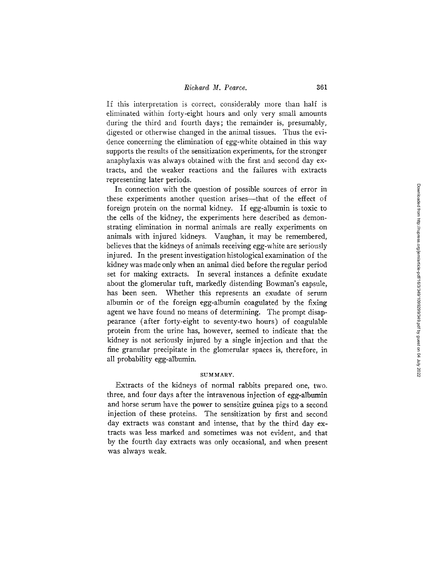If this interpretation is correct, considerably more than half is eliminated within forty-eight hours and only very small amounts during the third and fourth days; the remainder is, presumably, digested or otherwise changed in the animal tissues. Thus the evidence concerning the elimination of egg-white obtained in this way supports the results of the sensitization experiments, for the stronger anaphylaxis was always obtained with the first and second day extracts, and the weaker reactions and the failures with extracts representing later periods.

In connection with the question of possible sources of error in these experiments another question arises--that of the effect of foreign protein on the normal kidney. If egg-albumin is toxic to the cells of the kidney, the experiments here described as demonstrating elimination in normal animals are really experiments on animals with injured kidneys. Vaughan, it may be remembered, believes that the kidneys of animals receiving egg-white are seriously injured. In the present investigation histological examination of the kidney was made only when an animal died before the regular period set for making extracts. In several instances a definite exudate about the glomerular tuft, markedly distending Bowman's capsule, has been seen. Whether this represents an exudate of serum albumin or of the foreign egg-albumin coagulated by the fixing agent we have found no means of determining. The prompt disappearance (after forty-eight to seventy-two hours) of coagulable protein from the urine has, however, seemed to indicate that the kidney is not seriously injured by a single injection and that the fine granular precipitate in the glomerular spaces is, therefore, in all probability egg-albumin.

## SUM MARY.

Extracts of the kidneys of normal rabbits prepared one, two, three, and four days after the intravenous injection of egg-albumin and horse serum have the power to sensitize guinea pigs to a second injection of these proteins. The sensitization by first and second day extracts was constant and intense, that by the third day extracts was less marked and sometimes was not evident, and that by the fourth day extracts was only occasional, and when present was always weak.